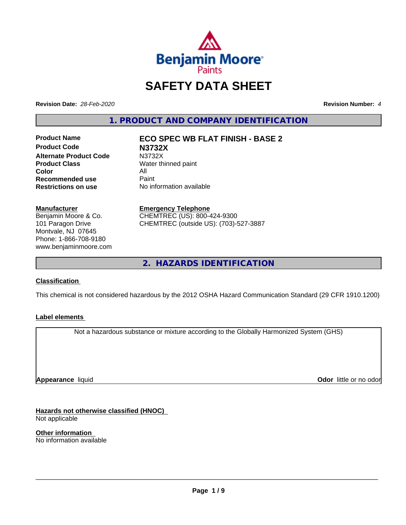

# **SAFETY DATA SHEET**

**Revision Date:** *28-Feb-2020* **Revision Number:** *4*

**1. PRODUCT AND COMPANY IDENTIFICATION**

**Product Code N3732X Alternate Product Code** N3732X<br> **Product Class** Water th **Color** All<br> **Recommended use** Paint **Recommended use**<br>Restrictions on use

**Product Name ECO SPEC WB FLAT FINISH - BASE 2**

**Water thinned paint No information available** 

#### **Manufacturer**

Benjamin Moore & Co. 101 Paragon Drive Montvale, NJ 07645 Phone: 1-866-708-9180 www.benjaminmoore.com

# **Emergency Telephone**

CHEMTREC (US): 800-424-9300 CHEMTREC (outside US): (703)-527-3887

**2. HAZARDS IDENTIFICATION**

### **Classification**

This chemical is not considered hazardous by the 2012 OSHA Hazard Communication Standard (29 CFR 1910.1200)

### **Label elements**

Not a hazardous substance or mixture according to the Globally Harmonized System (GHS)

**Appearance** liquid

**Odor** little or no odor

**Hazards not otherwise classified (HNOC)** Not applicable

**Other information** No information available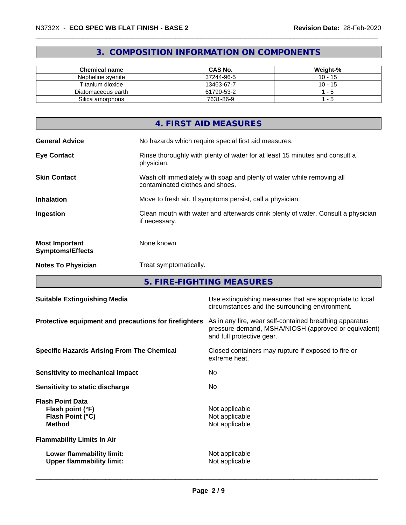# **3. COMPOSITION INFORMATION ON COMPONENTS**

| Chemical name      | <b>CAS No.</b> | Weight-%  |
|--------------------|----------------|-----------|
| Nepheline svenite  | 37244-96-5     | $10 - 15$ |
| Titanium dioxide   | 13463-67-7     | $10 - 15$ |
| Diatomaceous earth | 61790-53-2     | - 5       |
| Silica amorphous   | 7631-86-9      | - 5       |

| 4. FIRST AID MEASURES                                                                                                           |
|---------------------------------------------------------------------------------------------------------------------------------|
| No hazards which require special first aid measures.<br><b>General Advice</b>                                                   |
| Rinse thoroughly with plenty of water for at least 15 minutes and consult a<br><b>Eye Contact</b><br>physician.                 |
| Wash off immediately with soap and plenty of water while removing all<br><b>Skin Contact</b><br>contaminated clothes and shoes. |
| <b>Inhalation</b><br>Move to fresh air. If symptoms persist, call a physician.                                                  |
| Clean mouth with water and afterwards drink plenty of water. Consult a physician<br>Ingestion<br>if necessary.                  |
| None known.<br><b>Most Important</b><br><b>Symptoms/Effects</b>                                                                 |
| <b>Notes To Physician</b><br>Treat symptomatically.                                                                             |

**5. FIRE-FIGHTING MEASURES**

| <b>Suitable Extinguishing Media</b>                                              | Use extinguishing measures that are appropriate to local<br>circumstances and the surrounding environment.                                   |
|----------------------------------------------------------------------------------|----------------------------------------------------------------------------------------------------------------------------------------------|
| Protective equipment and precautions for firefighters                            | As in any fire, wear self-contained breathing apparatus<br>pressure-demand, MSHA/NIOSH (approved or equivalent)<br>and full protective gear. |
| <b>Specific Hazards Arising From The Chemical</b>                                | Closed containers may rupture if exposed to fire or<br>extreme heat.                                                                         |
| Sensitivity to mechanical impact                                                 | No.                                                                                                                                          |
| Sensitivity to static discharge                                                  | No.                                                                                                                                          |
| <b>Flash Point Data</b><br>Flash point (°F)<br>Flash Point (°C)<br><b>Method</b> | Not applicable<br>Not applicable<br>Not applicable                                                                                           |
| <b>Flammability Limits In Air</b>                                                |                                                                                                                                              |
| Lower flammability limit:<br><b>Upper flammability limit:</b>                    | Not applicable<br>Not applicable                                                                                                             |
|                                                                                  |                                                                                                                                              |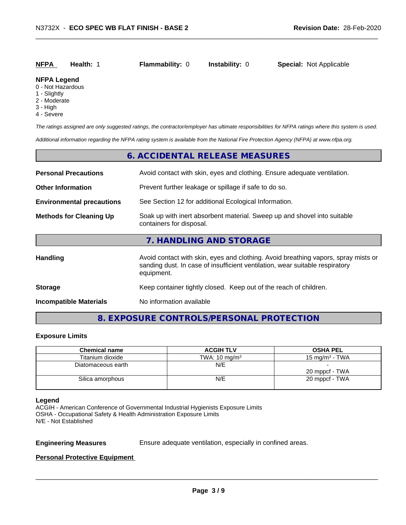| <b>NFPA</b><br><b>Special: Not Applicable</b><br><b>Instability: 0</b><br><b>Flammability: 0</b><br>Health: 1 |
|---------------------------------------------------------------------------------------------------------------|
|---------------------------------------------------------------------------------------------------------------|

#### **NFPA Legend**

- 0 Not Hazardous
- 1 Slightly
- 2 Moderate
- 3 High
- 4 Severe

*The ratings assigned are only suggested ratings, the contractor/employer has ultimate responsibilities for NFPA ratings where this system is used.*

*Additional information regarding the NFPA rating system is available from the National Fire Protection Agency (NFPA) at www.nfpa.org.*

### **6. ACCIDENTAL RELEASE MEASURES**

| <b>Personal Precautions</b>                                                                                                            | Avoid contact with skin, eyes and clothing. Ensure adequate ventilation.                                                                                                         |  |  |
|----------------------------------------------------------------------------------------------------------------------------------------|----------------------------------------------------------------------------------------------------------------------------------------------------------------------------------|--|--|
| <b>Other Information</b>                                                                                                               | Prevent further leakage or spillage if safe to do so.                                                                                                                            |  |  |
| <b>Environmental precautions</b>                                                                                                       | See Section 12 for additional Ecological Information.                                                                                                                            |  |  |
| Soak up with inert absorbent material. Sweep up and shovel into suitable<br><b>Methods for Cleaning Up</b><br>containers for disposal. |                                                                                                                                                                                  |  |  |
|                                                                                                                                        | 7. HANDLING AND STORAGE                                                                                                                                                          |  |  |
| <b>Handling</b>                                                                                                                        | Avoid contact with skin, eyes and clothing. Avoid breathing vapors, spray mists or<br>sanding dust. In case of insufficient ventilation, wear suitable respiratory<br>equipment. |  |  |
| <b>Storage</b>                                                                                                                         | Keep container tightly closed. Keep out of the reach of children.                                                                                                                |  |  |
| <b>Incompatible Materials</b>                                                                                                          | No information available                                                                                                                                                         |  |  |

# **8. EXPOSURE CONTROLS/PERSONAL PROTECTION**

#### **Exposure Limits**

| <b>Chemical name</b> | <b>ACGIH TLV</b>         | <b>OSHA PEL</b>   |
|----------------------|--------------------------|-------------------|
| Titanium dioxide     | TWA: $10 \text{ mg/m}^3$ | 15 mg/m $3$ - TWA |
| Diatomaceous earth   | N/E                      |                   |
|                      |                          | 20 mppcf - TWA    |
| Silica amorphous     | N/E                      | 20 mppcf - TWA    |
|                      |                          |                   |

#### **Legend**

ACGIH - American Conference of Governmental Industrial Hygienists Exposure Limits OSHA - Occupational Safety & Health Administration Exposure Limits N/E - Not Established

**Engineering Measures** Ensure adequate ventilation, especially in confined areas.

 $\overline{\phantom{a}}$  ,  $\overline{\phantom{a}}$  ,  $\overline{\phantom{a}}$  ,  $\overline{\phantom{a}}$  ,  $\overline{\phantom{a}}$  ,  $\overline{\phantom{a}}$  ,  $\overline{\phantom{a}}$  ,  $\overline{\phantom{a}}$  ,  $\overline{\phantom{a}}$  ,  $\overline{\phantom{a}}$  ,  $\overline{\phantom{a}}$  ,  $\overline{\phantom{a}}$  ,  $\overline{\phantom{a}}$  ,  $\overline{\phantom{a}}$  ,  $\overline{\phantom{a}}$  ,  $\overline{\phantom{a}}$ 

#### **Personal Protective Equipment**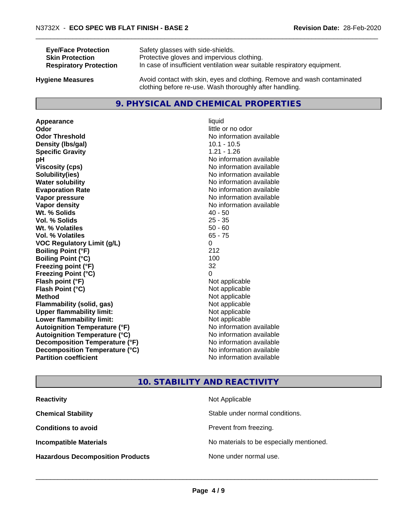| <b>Eye/Face Protection</b>    | Safety glasses with side-shields.                                        |
|-------------------------------|--------------------------------------------------------------------------|
| <b>Skin Protection</b>        | Protective gloves and impervious clothing.                               |
| <b>Respiratory Protection</b> | In case of insufficient ventilation wear suitable respiratory equipment. |
| Ivaiono Moscuros              | Avoid contact with skin, eves and clothing. Remove and wash contaminated |

**Hygiene Measures** Avoid contact with skin, eyes and clothing. Remove and wash contaminated clothing before re-use. Wash thoroughly after handling.

# **9. PHYSICAL AND CHEMICAL PROPERTIES**

**Appearance** liquid **Odor** little or no odor **Odor Threshold** No information available **Density (lbs/gal)** 10.1 - 10.5<br> **Specific Gravity** 1.21 - 1.26 **Specific Gravity pH pH**  $\blacksquare$ **Viscosity (cps)** No information available<br> **Solubility (ies)** No information available<br>
No information available **Water solubility** No information available **Evaporation Rate Evaporation Rate No information available Vapor pressure** No information available **No information available Vapor density** No information available **Wt. % Solids** 40 - 50<br> **Vol. % Solids** 25 - 35 **Vol. % Solids W<sub>t.</sub>** % Volatiles 50 - 60 **Vol. % Volatiles** 65 - 75 **VOC Regulatory Limit (g/L)** 0 **Boiling Point (°F)** 212 **Boiling Point**  $(^{\circ}C)$  100 **Freezing point (°F)** 32 **Freezing Point (°C)** 0 **Flash point (°F)** Not applicable **Flash Point (°C)** Not applicable **Method** Not applicable<br> **Flammability (solid, gas)** Not applicable Not applicable **Flammability** (solid, gas) **Upper flammability limit:**<br> **Lower flammability limit:** Not applicable Not applicable **Lower flammability limit:**<br> **Autoignition Temperature (°F)** Not applicable havailable **Autoignition Temperature (°F) Autoignition Temperature (°C)** No information available **Decomposition Temperature (°F)** No information available **Decomposition Temperature (°C)**<br> **Partition coefficient**<br> **Partition coefficient**<br> **Partition coefficient** 

**Solubility(ies)** No information available **No information available** 

# **10. STABILITY AND REACTIVITY**

| <b>Reactivity</b>                       | Not Applicable                           |
|-----------------------------------------|------------------------------------------|
| <b>Chemical Stability</b>               | Stable under normal conditions.          |
| <b>Conditions to avoid</b>              | Prevent from freezing.                   |
| <b>Incompatible Materials</b>           | No materials to be especially mentioned. |
| <b>Hazardous Decomposition Products</b> | None under normal use.                   |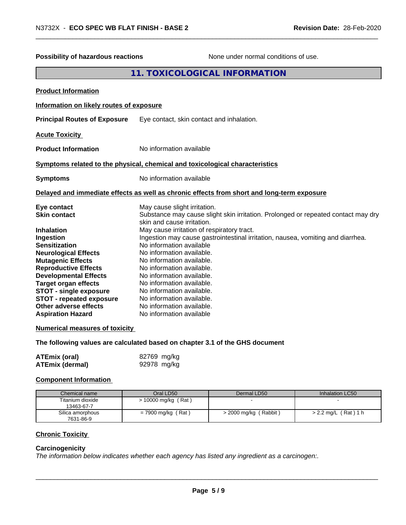| <b>Possibility of hazardous reactions</b>                                                                                                                                                                                                                                                                                                                                      | None under normal conditions of use.                                                                                                                                                                                                                                                                                                                                                                                                                                                                                                                                             |  |
|--------------------------------------------------------------------------------------------------------------------------------------------------------------------------------------------------------------------------------------------------------------------------------------------------------------------------------------------------------------------------------|----------------------------------------------------------------------------------------------------------------------------------------------------------------------------------------------------------------------------------------------------------------------------------------------------------------------------------------------------------------------------------------------------------------------------------------------------------------------------------------------------------------------------------------------------------------------------------|--|
| 11. TOXICOLOGICAL INFORMATION                                                                                                                                                                                                                                                                                                                                                  |                                                                                                                                                                                                                                                                                                                                                                                                                                                                                                                                                                                  |  |
| <b>Product Information</b>                                                                                                                                                                                                                                                                                                                                                     |                                                                                                                                                                                                                                                                                                                                                                                                                                                                                                                                                                                  |  |
| Information on likely routes of exposure                                                                                                                                                                                                                                                                                                                                       |                                                                                                                                                                                                                                                                                                                                                                                                                                                                                                                                                                                  |  |
| <b>Principal Routes of Exposure</b>                                                                                                                                                                                                                                                                                                                                            | Eye contact, skin contact and inhalation.                                                                                                                                                                                                                                                                                                                                                                                                                                                                                                                                        |  |
| <b>Acute Toxicity</b>                                                                                                                                                                                                                                                                                                                                                          |                                                                                                                                                                                                                                                                                                                                                                                                                                                                                                                                                                                  |  |
| <b>Product Information</b>                                                                                                                                                                                                                                                                                                                                                     | No information available                                                                                                                                                                                                                                                                                                                                                                                                                                                                                                                                                         |  |
| Symptoms related to the physical, chemical and toxicological characteristics                                                                                                                                                                                                                                                                                                   |                                                                                                                                                                                                                                                                                                                                                                                                                                                                                                                                                                                  |  |
| <b>Symptoms</b>                                                                                                                                                                                                                                                                                                                                                                | No information available                                                                                                                                                                                                                                                                                                                                                                                                                                                                                                                                                         |  |
| Delayed and immediate effects as well as chronic effects from short and long-term exposure                                                                                                                                                                                                                                                                                     |                                                                                                                                                                                                                                                                                                                                                                                                                                                                                                                                                                                  |  |
| Eye contact<br><b>Skin contact</b><br><b>Inhalation</b><br>Ingestion<br><b>Sensitization</b><br><b>Neurological Effects</b><br><b>Mutagenic Effects</b><br><b>Reproductive Effects</b><br><b>Developmental Effects</b><br><b>Target organ effects</b><br><b>STOT - single exposure</b><br><b>STOT - repeated exposure</b><br>Other adverse effects<br><b>Aspiration Hazard</b> | May cause slight irritation.<br>Substance may cause slight skin irritation. Prolonged or repeated contact may dry<br>skin and cause irritation.<br>May cause irritation of respiratory tract.<br>Ingestion may cause gastrointestinal irritation, nausea, vomiting and diarrhea.<br>No information available<br>No information available.<br>No information available.<br>No information available.<br>No information available.<br>No information available.<br>No information available.<br>No information available.<br>No information available.<br>No information available |  |
| <b>Numerical measures of toxicity</b>                                                                                                                                                                                                                                                                                                                                          |                                                                                                                                                                                                                                                                                                                                                                                                                                                                                                                                                                                  |  |
| The following values are calculated based on chapter 3.1 of the GHS document                                                                                                                                                                                                                                                                                                   |                                                                                                                                                                                                                                                                                                                                                                                                                                                                                                                                                                                  |  |
| <b>ATEmix (oral)</b><br><b>ATEmix (dermal)</b>                                                                                                                                                                                                                                                                                                                                 | 82769 mg/kg<br>92978 mg/kg                                                                                                                                                                                                                                                                                                                                                                                                                                                                                                                                                       |  |

#### **Component Information**

| <b>Chemical name</b>           | Oral LD50             | Dermal LD50           | Inhalation LC50        |
|--------------------------------|-----------------------|-----------------------|------------------------|
| Titanium dioxide<br>13463-67-7 | $> 10000$ mg/kg (Rat) |                       |                        |
| Silica amorphous<br>7631-86-9  | $= 7900$ mg/kg (Rat)  | > 2000 mg/kg (Rabbit) | $> 2.2$ mg/L (Rat) 1 h |

# **Chronic Toxicity**

#### **Carcinogenicity**

*The information below indicateswhether each agency has listed any ingredient as a carcinogen:.*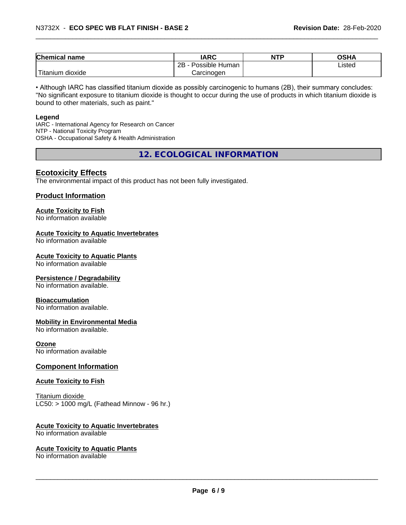| Chemical<br>name           | <b>IARC</b>             | <b>NTP</b> | ∧ב⊔∧<br>יורט |
|----------------------------|-------------------------|------------|--------------|
|                            | 2B<br>Human<br>Possible |            | ∟isted       |
| .<br>m dioxide<br>Titaniun | Carcinogen              |            |              |

• Although IARC has classified titanium dioxide as possibly carcinogenic to humans (2B), their summary concludes: "No significant exposure to titanium dioxide is thought to occur during the use of products in which titanium dioxide is bound to other materials, such as paint."

#### **Legend**

IARC - International Agency for Research on Cancer NTP - National Toxicity Program OSHA - Occupational Safety & Health Administration

**12. ECOLOGICAL INFORMATION**

## **Ecotoxicity Effects**

The environmental impact of this product has not been fully investigated.

#### **Product Information**

# **Acute Toxicity to Fish**

No information available

#### **Acute Toxicity to Aquatic Invertebrates**

No information available

#### **Acute Toxicity to Aquatic Plants**

No information available

#### **Persistence / Degradability**

No information available.

#### **Bioaccumulation**

No information available.

#### **Mobility in Environmental Media**

No information available.

#### **Ozone**

No information available

#### **Component Information**

#### **Acute Toxicity to Fish**

Titanium dioxide  $LC50:$  > 1000 mg/L (Fathead Minnow - 96 hr.)

#### **Acute Toxicity to Aquatic Invertebrates**

No information available

#### **Acute Toxicity to Aquatic Plants**

No information available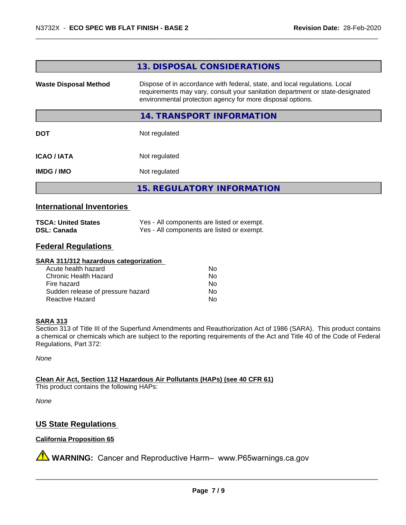#### **13. DISPOSAL CONSIDERATIONS**

**Waste Disposal Method** Dispose of in accordance with federal, state, and local regulations. Local requirements may vary, consult your sanitation department or state-designated environmental protection agency for more disposal options.

#### **14. TRANSPORT INFORMATION**

**DOT** Not regulated

**ICAO / IATA** Not regulated

**IMDG / IMO** Not regulated

**15. REGULATORY INFORMATION**

#### **International Inventories**

| <b>TSCA: United States</b> | Yes - All components are listed or exempt. |
|----------------------------|--------------------------------------------|
| <b>DSL: Canada</b>         | Yes - All components are listed or exempt. |

# **Federal Regulations**

#### **SARA 311/312 hazardous categorization**

| Acute health hazard               | N٥ |  |
|-----------------------------------|----|--|
| Chronic Health Hazard             | Nο |  |
| Fire hazard                       | Nο |  |
| Sudden release of pressure hazard | Nο |  |
| Reactive Hazard                   | Nο |  |

#### **SARA 313**

Section 313 of Title III of the Superfund Amendments and Reauthorization Act of 1986 (SARA). This product contains a chemical or chemicals which are subject to the reporting requirements of the Act and Title 40 of the Code of Federal Regulations, Part 372:

*None*

**Clean Air Act,Section 112 Hazardous Air Pollutants (HAPs) (see 40 CFR 61)**

This product contains the following HAPs:

*None*

### **US State Regulations**

#### **California Proposition 65**

**AVIMARNING:** Cancer and Reproductive Harm– www.P65warnings.ca.gov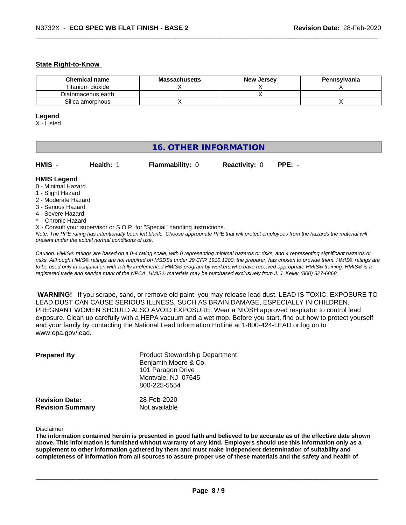#### **State Right-to-Know**

| <b>Chemical name</b> | <b>Massachusetts</b> | <b>New Jersey</b> | Pennsylvania |
|----------------------|----------------------|-------------------|--------------|
| Titanium dioxide     |                      |                   |              |
| Diatomaceous earth   |                      |                   |              |
| Silica amorphous     |                      |                   |              |

#### **Legend**

X - Listed

# **16. OTHER INFORMATION**

**HMIS** - **Health:** 1 **Flammability:** 0 **Reactivity:** 0 **PPE:** -

# **HMIS Legend**

- 0 Minimal Hazard
- 1 Slight Hazard
- 2 Moderate Hazard
- 3 Serious Hazard
- 4 Severe Hazard
- \* Chronic Hazard
- X Consult your supervisor or S.O.P. for "Special" handling instructions.

*Note: The PPE rating has intentionally been left blank. Choose appropriate PPE that will protect employees from the hazards the material will present under the actual normal conditions of use.*

*Caution: HMISÒ ratings are based on a 0-4 rating scale, with 0 representing minimal hazards or risks, and 4 representing significant hazards or risks. Although HMISÒ ratings are not required on MSDSs under 29 CFR 1910.1200, the preparer, has chosen to provide them. HMISÒ ratings are to be used only in conjunction with a fully implemented HMISÒ program by workers who have received appropriate HMISÒ training. HMISÒ is a registered trade and service mark of the NPCA. HMISÒ materials may be purchased exclusively from J. J. Keller (800) 327-6868.*

 **WARNING!** If you scrape, sand, or remove old paint, you may release lead dust. LEAD IS TOXIC. EXPOSURE TO LEAD DUST CAN CAUSE SERIOUS ILLNESS, SUCH AS BRAIN DAMAGE, ESPECIALLY IN CHILDREN. PREGNANT WOMEN SHOULD ALSO AVOID EXPOSURE.Wear a NIOSH approved respirator to control lead exposure. Clean up carefully with a HEPA vacuum and a wet mop. Before you start, find out how to protect yourself and your family by contacting the National Lead Information Hotline at 1-800-424-LEAD or log on to www.epa.gov/lead.

| <b>Prepared By</b>                               | <b>Product Stewardship Department</b><br>Benjamin Moore & Co.<br>101 Paragon Drive<br>Montvale, NJ 07645<br>800-225-5554 |  |
|--------------------------------------------------|--------------------------------------------------------------------------------------------------------------------------|--|
| <b>Revision Date:</b><br><b>Revision Summary</b> | 28-Feb-2020<br>Not available                                                                                             |  |

Disclaimer

The information contained herein is presented in good faith and believed to be accurate as of the effective date shown above. This information is furnished without warranty of any kind. Employers should use this information only as a **supplement to other information gathered by them and must make independent determination of suitability and** completeness of information from all sources to assure proper use of these materials and the safety and health of